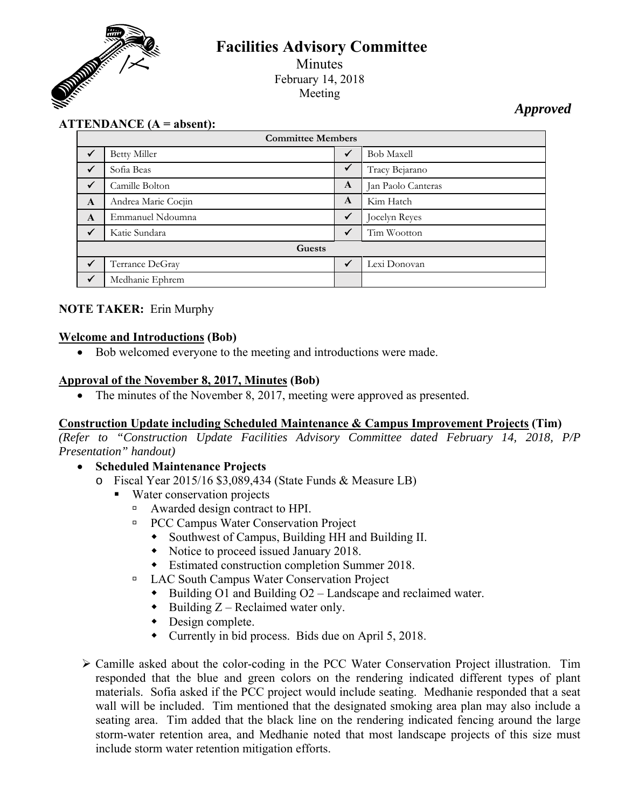

# **Facilities Advisory Committee**

Minutes February 14, 2018 Meeting

*Approved* 

# **ATTENDANCE (A = absent):**

| <b>Committee Members</b> |                     |              |                    |
|--------------------------|---------------------|--------------|--------------------|
| $\checkmark$             | <b>Betty Miller</b> | ✓            | <b>Bob Maxell</b>  |
| $\checkmark$             | Sofia Beas          | $\checkmark$ | Tracy Bejarano     |
| $\checkmark$             | Camille Bolton      | A            | Jan Paolo Canteras |
| $\mathbf{A}$             | Andrea Marie Cocjin | A            | Kim Hatch          |
| $\mathbf{A}$             | Emmanuel Ndoumna    | $\checkmark$ | Jocelyn Reyes      |
| $\checkmark$             | Katie Sundara       | ✓            | Tim Wootton        |
| Guests                   |                     |              |                    |
| $\checkmark$             | Terrance DeGray     | $\checkmark$ | Lexi Donovan       |
| $\checkmark$             | Medhanie Ephrem     |              |                    |

# **NOTE TAKER:** Erin Murphy

### **Welcome and Introductions (Bob)**

Bob welcomed everyone to the meeting and introductions were made.

### **Approval of the November 8, 2017, Minutes (Bob)**

• The minutes of the November 8, 2017, meeting were approved as presented.

#### **Construction Update including Scheduled Maintenance & Campus Improvement Projects (Tim)**

*(Refer to "Construction Update Facilities Advisory Committee dated February 14, 2018, P/P Presentation" handout)* 

# **Scheduled Maintenance Projects**

- o Fiscal Year 2015/16 \$3,089,434 (State Funds & Measure LB)
	- Water conservation projects
		- □ Awarded design contract to HPI.
		- □ PCC Campus Water Conservation Project
			- Southwest of Campus, Building HH and Building II.
			- Notice to proceed issued January 2018.
			- Estimated construction completion Summer 2018.
		- LAC South Campus Water Conservation Project
			- $\bullet$  Building O1 and Building O2 Landscape and reclaimed water.
			- $\bullet$  Building Z Reclaimed water only.
			- Design complete.
			- Currently in bid process. Bids due on April 5, 2018.
- Camille asked about the color-coding in the PCC Water Conservation Project illustration. Tim responded that the blue and green colors on the rendering indicated different types of plant materials. Sofia asked if the PCC project would include seating. Medhanie responded that a seat wall will be included. Tim mentioned that the designated smoking area plan may also include a seating area. Tim added that the black line on the rendering indicated fencing around the large storm-water retention area, and Medhanie noted that most landscape projects of this size must include storm water retention mitigation efforts.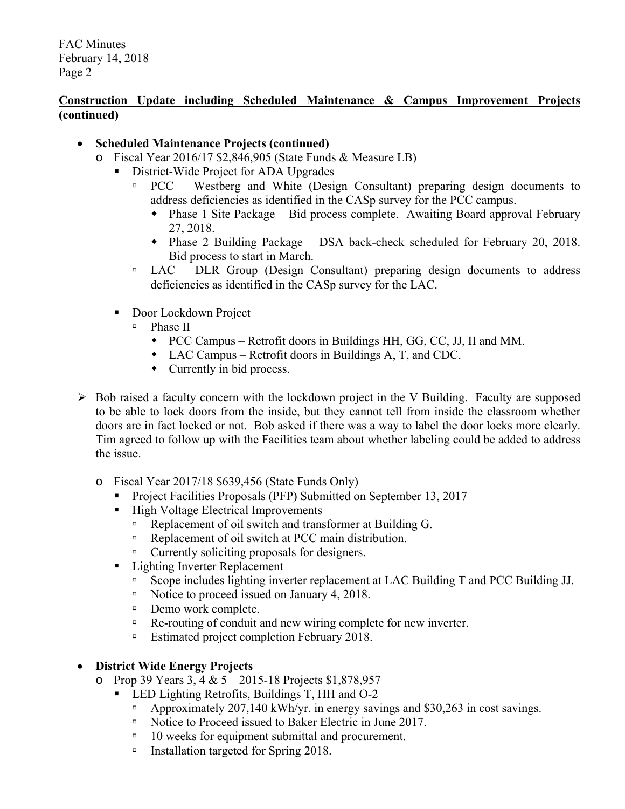# **Construction Update including Scheduled Maintenance & Campus Improvement Projects (continued)**

# **Scheduled Maintenance Projects (continued)**

- o Fiscal Year 2016/17 \$2,846,905 (State Funds & Measure LB)
	- District-Wide Project for ADA Upgrades
		- $PCC Westberg$  and White (Design Consultant) preparing design documents to address deficiencies as identified in the CASp survey for the PCC campus.
			- Phase 1 Site Package Bid process complete. Awaiting Board approval February 27, 2018.
			- Phase 2 Building Package DSA back-check scheduled for February 20, 2018. Bid process to start in March.
		- $\Box$  LAC DLR Group (Design Consultant) preparing design documents to address deficiencies as identified in the CASp survey for the LAC.
	- Door Lockdown Project
		- $\Box$  Phase II
			- PCC Campus Retrofit doors in Buildings HH, GG, CC, JJ, II and MM.
			- LAC Campus Retrofit doors in Buildings A, T, and CDC.
			- Currently in bid process.
- $\triangleright$  Bob raised a faculty concern with the lockdown project in the V Building. Faculty are supposed to be able to lock doors from the inside, but they cannot tell from inside the classroom whether doors are in fact locked or not. Bob asked if there was a way to label the door locks more clearly. Tim agreed to follow up with the Facilities team about whether labeling could be added to address the issue.
	- o Fiscal Year 2017/18 \$639,456 (State Funds Only)
		- **Project Facilities Proposals (PFP) Submitted on September 13, 2017**
		- High Voltage Electrical Improvements
			- Replacement of oil switch and transformer at Building G.
			- Replacement of oil switch at PCC main distribution.
			- Currently soliciting proposals for designers.
		- Lighting Inverter Replacement
			- □ Scope includes lighting inverter replacement at LAC Building T and PCC Building JJ.
			- Notice to proceed issued on January 4, 2018.
			- Demo work complete.
			- □ Re-routing of conduit and new wiring complete for new inverter.
			- □ Estimated project completion February 2018.

# **District Wide Energy Projects**

- o Prop 39 Years 3, 4 &  $5 2015 18$  Projects \$1,878,957
	- **LED Lighting Retrofits, Buildings T, HH and O-2** 
		- Approximately 207,140 kWh/yr. in energy savings and \$30,263 in cost savings.
		- Notice to Proceed issued to Baker Electric in June 2017.
		- $\Box$  10 weeks for equipment submittal and procurement.
		- Installation targeted for Spring 2018.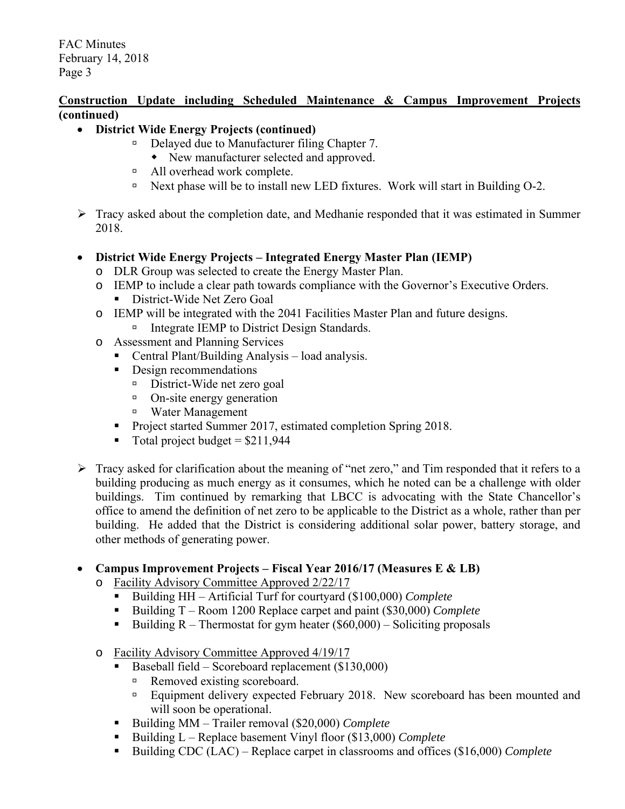### **Construction Update including Scheduled Maintenance & Campus Improvement Projects (continued)**

# **District Wide Energy Projects (continued)**

- □ Delayed due to Manufacturer filing Chapter 7.
	- New manufacturer selected and approved.
- All overhead work complete.
- Next phase will be to install new LED fixtures. Work will start in Building O-2.
- $\triangleright$  Tracy asked about the completion date, and Medhanie responded that it was estimated in Summer 2018.

# **District Wide Energy Projects – Integrated Energy Master Plan (IEMP)**

- o DLR Group was selected to create the Energy Master Plan.
- o IEMP to include a clear path towards compliance with the Governor's Executive Orders. **District-Wide Net Zero Goal**
- o IEMP will be integrated with the 2041 Facilities Master Plan and future designs.
	- Integrate IEMP to District Design Standards.
- o Assessment and Planning Services
	- Central Plant/Building Analysis load analysis.
	- Design recommendations
		- District-Wide net zero goal
		- <sup>o</sup> On-site energy generation
		- Water Management
	- Project started Summer 2017, estimated completion Spring 2018.
	- Total project budget  $= $211,944$
- Fracy asked for clarification about the meaning of "net zero," and Tim responded that it refers to a building producing as much energy as it consumes, which he noted can be a challenge with older buildings. Tim continued by remarking that LBCC is advocating with the State Chancellor's office to amend the definition of net zero to be applicable to the District as a whole, rather than per building. He added that the District is considering additional solar power, battery storage, and other methods of generating power.

# **Campus Improvement Projects – Fiscal Year 2016/17 (Measures E & LB)**

- o Facility Advisory Committee Approved 2/22/17
	- Building HH Artificial Turf for courtyard (\$100,000) *Complete*
	- Building T Room 1200 Replace carpet and paint (\$30,000) *Complete*
	- Building  $R$  Thermostat for gym heater (\$60,000) Soliciting proposals
- o Facility Advisory Committee Approved 4/19/17
	- Baseball field Scoreboard replacement  $(\$130,000)$ 
		- Removed existing scoreboard.
		- □ Equipment delivery expected February 2018. New scoreboard has been mounted and will soon be operational.
	- Building MM Trailer removal (\$20,000) *Complete*
	- Building L Replace basement Vinyl floor (\$13,000) *Complete*
	- Building CDC (LAC) Replace carpet in classrooms and offices (\$16,000) *Complete*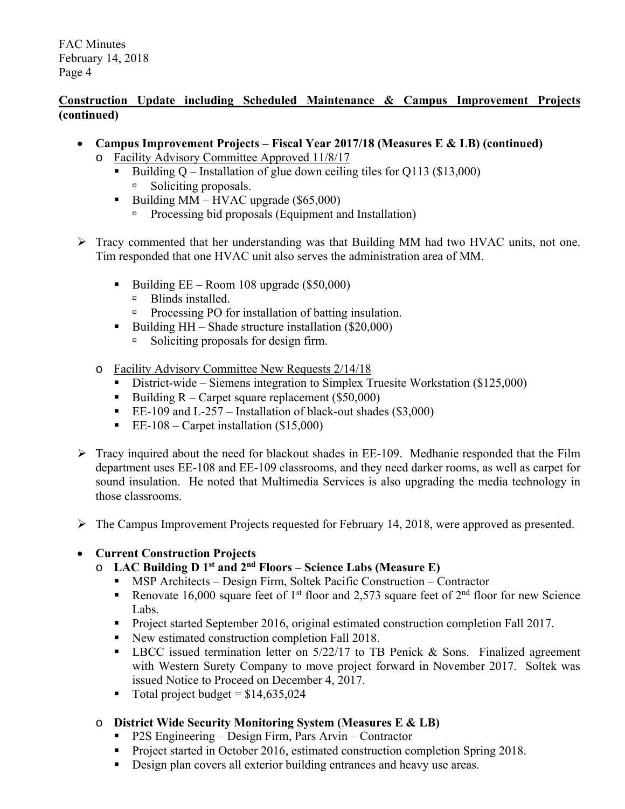# **Construction Update including Scheduled Maintenance & Campus Improvement Projects (continued)**

- **Campus Improvement Projects Fiscal Year 2017/18 (Measures E & LB) (continued)** 
	- o Facility Advisory Committee Approved 11/8/17
		- Building Q Installation of glue down ceiling tiles for Q113 (\$13,000) □ Soliciting proposals.
		- Building  $MM HVAC$  upgrade (\$65,000)
			- **Processing bid proposals (Equipment and Installation)**
- Tracy commented that her understanding was that Building MM had two HVAC units, not one. Tim responded that one HVAC unit also serves the administration area of MM.
	- Building  $EE Room$  108 upgrade (\$50,000)
		- **Blinds installed.**
		- □ Processing PO for installation of batting insulation.
	- Building  $HH Shade$  structure installation (\$20,000)
		- Soliciting proposals for design firm.
	- o Facility Advisory Committee New Requests 2/14/18
		- District-wide Siemens integration to Simplex Truesite Workstation (\$125,000)
		- Building  $R -$  Carpet square replacement (\$50,000)
		- EE-109 and L-257 Installation of black-out shades  $(\$3,000)$
		- EE-108 Carpet installation  $(\$15,000)$
- $\triangleright$  Tracy inquired about the need for blackout shades in EE-109. Medhanie responded that the Film department uses EE-108 and EE-109 classrooms, and they need darker rooms, as well as carpet for sound insulation. He noted that Multimedia Services is also upgrading the media technology in those classrooms.
- $\triangleright$  The Campus Improvement Projects requested for February 14, 2018, were approved as presented.

# **Current Construction Projects**

- o **LAC Building D 1st and 2nd Floors Science Labs (Measure E)** 
	- MSP Architects Design Firm, Soltek Pacific Construction Contractor
	- Renovate 16,000 square feet of 1<sup>st</sup> floor and 2,573 square feet of  $2<sup>nd</sup>$  floor for new Science Labs.
	- Project started September 2016, original estimated construction completion Fall 2017.
	- New estimated construction completion Fall 2018.
	- **LBCC** issued termination letter on  $5/22/17$  to TB Penick & Sons. Finalized agreement with Western Surety Company to move project forward in November 2017. Soltek was issued Notice to Proceed on December 4, 2017.
	- $\blacksquare$  Total project budget = \$14,635,024
- o **District Wide Security Monitoring System (Measures E & LB)** 
	- **P2S Engineering Design Firm, Pars Arvin Contractor**
	- **Project started in October 2016, estimated construction completion Spring 2018.**
	- Design plan covers all exterior building entrances and heavy use areas.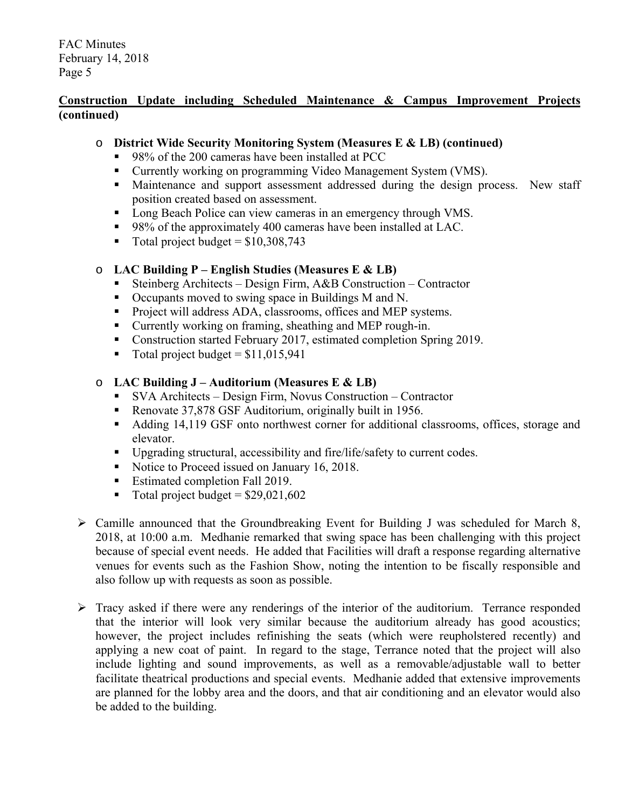# **Construction Update including Scheduled Maintenance & Campus Improvement Projects (continued)**

# o **District Wide Security Monitoring System (Measures E & LB) (continued)**

- 98% of the 200 cameras have been installed at PCC
- **Currently working on programming Video Management System (VMS).**
- Maintenance and support assessment addressed during the design process. New staff position created based on assessment.
- **Long Beach Police can view cameras in an emergency through VMS.**
- 98% of the approximately 400 cameras have been installed at LAC.
- Total project budget =  $$10,308,743$

# o **LAC Building P – English Studies (Measures E & LB)**

- Steinberg Architects Design Firm, A&B Construction Contractor<br>■ Occupants moved to swing space in Buildings M and N.
- Occupants moved to swing space in Buildings M and N.
- **Project will address ADA, classrooms, offices and MEP systems.**
- Currently working on framing, sheathing and MEP rough-in.
- Construction started February 2017, estimated completion Spring 2019.
- Total project budget =  $$11,015,941$

# o **LAC Building J – Auditorium (Measures E & LB)**

- SVA Architects Design Firm, Novus Construction Contractor
- Renovate 37,878 GSF Auditorium, originally built in 1956.
- Adding 14,119 GSF onto northwest corner for additional classrooms, offices, storage and elevator.
- Upgrading structural, accessibility and fire/life/safety to current codes.
- Notice to Proceed issued on January 16, 2018.
- **Estimated completion Fall 2019.**
- $\blacksquare$  Total project budget = \$29,021,602
- $\triangleright$  Camille announced that the Groundbreaking Event for Building J was scheduled for March 8, 2018, at 10:00 a.m. Medhanie remarked that swing space has been challenging with this project because of special event needs. He added that Facilities will draft a response regarding alternative venues for events such as the Fashion Show, noting the intention to be fiscally responsible and also follow up with requests as soon as possible.
- $\triangleright$  Tracy asked if there were any renderings of the interior of the auditorium. Terrance responded that the interior will look very similar because the auditorium already has good acoustics; however, the project includes refinishing the seats (which were reupholstered recently) and applying a new coat of paint. In regard to the stage, Terrance noted that the project will also include lighting and sound improvements, as well as a removable/adjustable wall to better facilitate theatrical productions and special events. Medhanie added that extensive improvements are planned for the lobby area and the doors, and that air conditioning and an elevator would also be added to the building.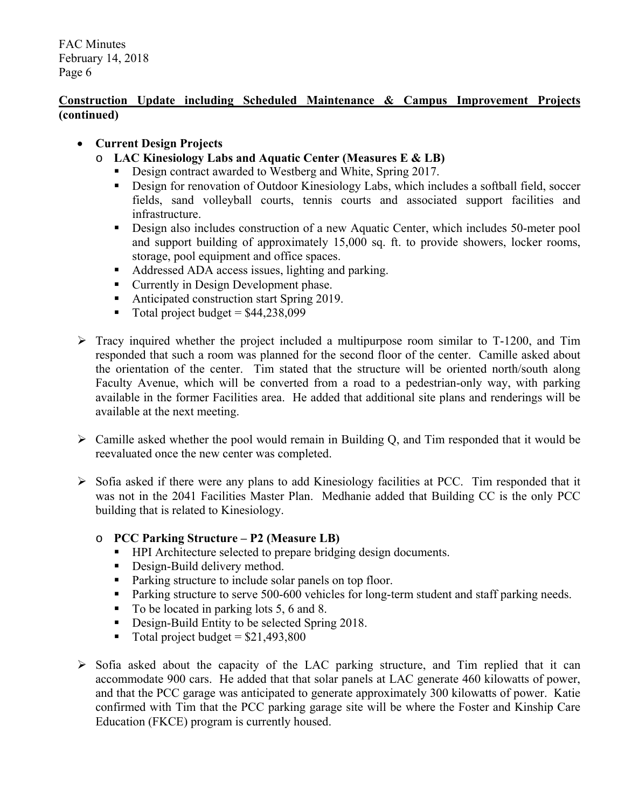# **Construction Update including Scheduled Maintenance & Campus Improvement Projects (continued)**

# **Current Design Projects**

- o **LAC Kinesiology Labs and Aquatic Center (Measures E & LB)** 
	- Design contract awarded to Westberg and White, Spring 2017.
	- Design for renovation of Outdoor Kinesiology Labs, which includes a softball field, soccer fields, sand volleyball courts, tennis courts and associated support facilities and infrastructure.
	- Design also includes construction of a new Aquatic Center, which includes 50-meter pool and support building of approximately 15,000 sq. ft. to provide showers, locker rooms, storage, pool equipment and office spaces.
	- Addressed ADA access issues, lighting and parking.
	- **Currently in Design Development phase.**
	- Anticipated construction start Spring 2019.
	- $\blacksquare$  Total project budget = \$44,238,099
- $\triangleright$  Tracy inquired whether the project included a multipurpose room similar to T-1200, and Tim responded that such a room was planned for the second floor of the center. Camille asked about the orientation of the center. Tim stated that the structure will be oriented north/south along Faculty Avenue, which will be converted from a road to a pedestrian-only way, with parking available in the former Facilities area. He added that additional site plans and renderings will be available at the next meeting.
- $\triangleright$  Camille asked whether the pool would remain in Building Q, and Tim responded that it would be reevaluated once the new center was completed.
- $\triangleright$  Sofia asked if there were any plans to add Kinesiology facilities at PCC. Tim responded that it was not in the 2041 Facilities Master Plan. Medhanie added that Building CC is the only PCC building that is related to Kinesiology.
	- o **PCC Parking Structure P2 (Measure LB)** 
		- **HPI** Architecture selected to prepare bridging design documents.
		- Design-Build delivery method.
		- Parking structure to include solar panels on top floor.
		- **Parking structure to serve 500-600 vehicles for long-term student and staff parking needs.**
		- To be located in parking lots 5, 6 and 8.
		- Design-Build Entity to be selected Spring 2018.
		- Total project budget  $= $21,493,800$
- $\triangleright$  Sofia asked about the capacity of the LAC parking structure, and Tim replied that it can accommodate 900 cars. He added that that solar panels at LAC generate 460 kilowatts of power, and that the PCC garage was anticipated to generate approximately 300 kilowatts of power. Katie confirmed with Tim that the PCC parking garage site will be where the Foster and Kinship Care Education (FKCE) program is currently housed.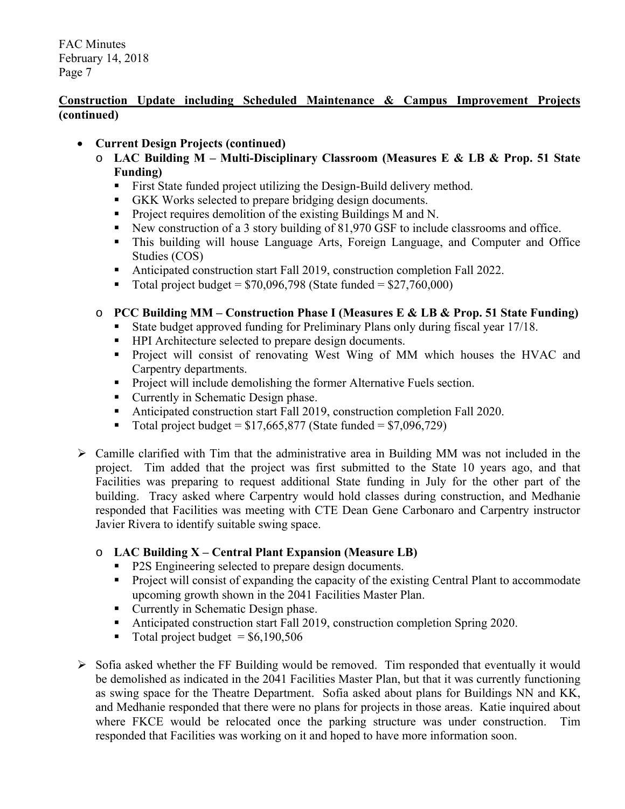# **Construction Update including Scheduled Maintenance & Campus Improvement Projects (continued)**

# **Current Design Projects (continued)**

- o **LAC Building M Multi-Disciplinary Classroom (Measures E & LB & Prop. 51 State Funding)** 
	- First State funded project utilizing the Design-Build delivery method.
	- GKK Works selected to prepare bridging design documents.
	- **Project requires demolition of the existing Buildings M and N.**
	- New construction of a 3 story building of 81,970 GSF to include classrooms and office.
	- This building will house Language Arts, Foreign Language, and Computer and Office Studies (COS)
	- Anticipated construction start Fall 2019, construction completion Fall 2022.
	- $\blacksquare$  Total project budget = \$70,096,798 (State funded = \$27,760,000)

# o **PCC Building MM – Construction Phase I (Measures E & LB & Prop. 51 State Funding)**

- State budget approved funding for Preliminary Plans only during fiscal year 17/18.
- **HPI** Architecture selected to prepare design documents.
- **Project will consist of renovating West Wing of MM which houses the HVAC and** Carpentry departments.
- **Project will include demolishing the former Alternative Fuels section.**
- Currently in Schematic Design phase.
- Anticipated construction start Fall 2019, construction completion Fall 2020.
- $\blacksquare$  Total project budget = \$17,665,877 (State funded = \$7,096,729)
- $\triangleright$  Camille clarified with Tim that the administrative area in Building MM was not included in the project. Tim added that the project was first submitted to the State 10 years ago, and that Facilities was preparing to request additional State funding in July for the other part of the building. Tracy asked where Carpentry would hold classes during construction, and Medhanie responded that Facilities was meeting with CTE Dean Gene Carbonaro and Carpentry instructor Javier Rivera to identify suitable swing space.

# o **LAC Building X – Central Plant Expansion (Measure LB)**

- P2S Engineering selected to prepare design documents.
- **Project will consist of expanding the capacity of the existing Central Plant to accommodate** upcoming growth shown in the 2041 Facilities Master Plan.
- Currently in Schematic Design phase.
- Anticipated construction start Fall 2019, construction completion Spring 2020.
- Total project budget  $=$  \$6,190,506
- $\triangleright$  Sofia asked whether the FF Building would be removed. Tim responded that eventually it would be demolished as indicated in the 2041 Facilities Master Plan, but that it was currently functioning as swing space for the Theatre Department. Sofia asked about plans for Buildings NN and KK, and Medhanie responded that there were no plans for projects in those areas. Katie inquired about where FKCE would be relocated once the parking structure was under construction. Tim responded that Facilities was working on it and hoped to have more information soon.